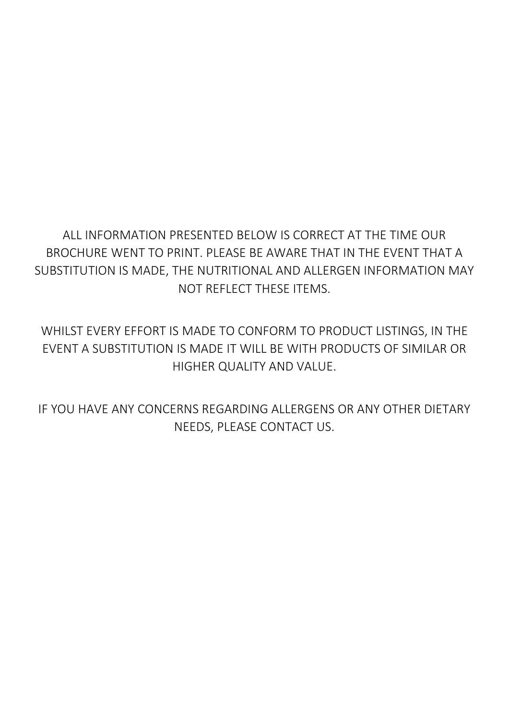# ALL INFORMATION PRESENTED BELOW IS CORRECT AT THE TIME OUR BROCHURE WENT TO PRINT. PLEASE BE AWARE THAT IN THE EVENT THAT A SUBSTITUTION IS MADE, THE NUTRITIONAL AND ALLERGEN INFORMATION MAY NOT REFLECT THESE ITEMS.

WHILST EVERY EFFORT IS MADE TO CONFORM TO PRODUCT LISTINGS, IN THE EVENT A SUBSTITUTION IS MADE IT WILL BE WITH PRODUCTS OF SIMILAR OR HIGHER QUALITY AND VALUE.

IF YOU HAVE ANY CONCERNS REGARDING ALLERGENS OR ANY OTHER DIETARY NEEDS, PLEASE CONTACT US.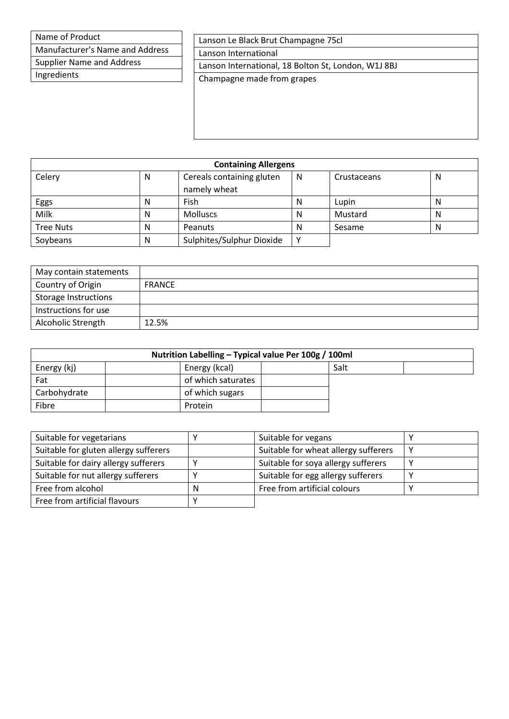Manufacturer's Name and Address

Supplier Name and Address

Ingredients

| Lanson Le Black Brut Champagne 75cl                 |  |
|-----------------------------------------------------|--|
| Lanson International                                |  |
| Lanson International, 18 Bolton St, London, W1J 8BJ |  |
| Champagne made from grapes                          |  |
|                                                     |  |
|                                                     |  |
|                                                     |  |
|                                                     |  |

| <b>Containing Allergens</b> |   |                           |   |             |   |  |  |
|-----------------------------|---|---------------------------|---|-------------|---|--|--|
| Celery                      | N | Cereals containing gluten | N | Crustaceans | N |  |  |
|                             |   | namely wheat              |   |             |   |  |  |
| Eggs                        | N | Fish                      | N | Lupin       | N |  |  |
| Milk                        | N | <b>Molluscs</b>           | N | Mustard     | N |  |  |
| <b>Tree Nuts</b>            | N | Peanuts                   | N | Sesame      | N |  |  |
| Soybeans                    | N | Sulphites/Sulphur Dioxide | ⅴ |             |   |  |  |

| May contain statements      |               |
|-----------------------------|---------------|
| Country of Origin           | <b>FRANCE</b> |
| <b>Storage Instructions</b> |               |
| Instructions for use        |               |
| Alcoholic Strength          | 12.5%         |

| Nutrition Labelling - Typical value Per 100g / 100ml |  |                    |  |      |  |
|------------------------------------------------------|--|--------------------|--|------|--|
| Energy (kj)                                          |  | Energy (kcal)      |  | Salt |  |
| Fat                                                  |  | of which saturates |  |      |  |
| Carbohydrate                                         |  | of which sugars    |  |      |  |
| Fibre                                                |  | Protein            |  |      |  |

| Suitable for vegetarians              |   | Suitable for vegans                  |   |
|---------------------------------------|---|--------------------------------------|---|
| Suitable for gluten allergy sufferers |   | Suitable for wheat allergy sufferers |   |
| Suitable for dairy allergy sufferers  |   | Suitable for soya allergy sufferers  | ν |
| Suitable for nut allergy sufferers    |   | Suitable for egg allergy sufferers   |   |
| Free from alcohol                     | N | Free from artificial colours         |   |
| Free from artificial flavours         |   |                                      |   |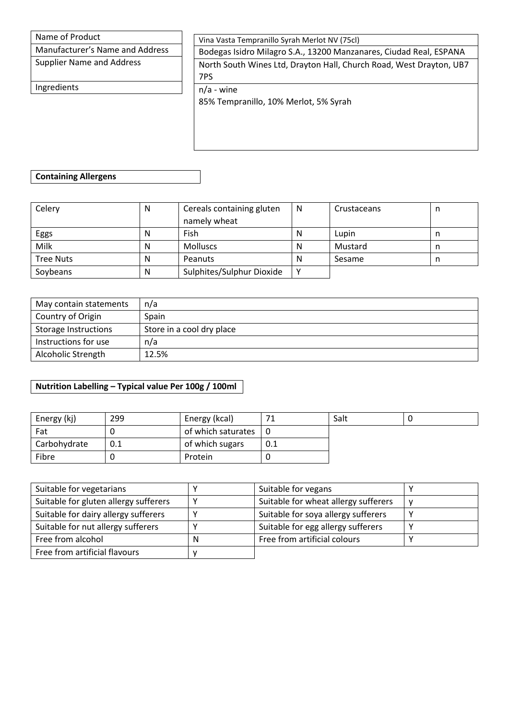Manufacturer's Name and Address

Supplier Name and Address

Ingredients

Vina Vasta Tempranillo Syrah Merlot NV (75cl)

Bodegas Isidro Milagro S.A., 13200 Manzanares, Ciudad Real, ESPANA North South Wines Ltd, Drayton Hall, Church Road, West Drayton, UB7

7PS

n/a - wine

85% Tempranillo, 10% Merlot, 5% Syrah

#### **Containing Allergens**

| Celery           | N | Cereals containing gluten | N | Crustaceans | n |
|------------------|---|---------------------------|---|-------------|---|
|                  |   | namely wheat              |   |             |   |
| Eggs             | N | Fish                      | N | Lupin       | n |
| Milk             | N | <b>Molluscs</b>           | N | Mustard     |   |
| <b>Tree Nuts</b> | N | Peanuts                   | N | Sesame      | n |
| Soybeans         | N | Sulphites/Sulphur Dioxide |   |             |   |

| May contain statements      | n/a                       |
|-----------------------------|---------------------------|
| Country of Origin           | Spain                     |
| <b>Storage Instructions</b> | Store in a cool dry place |
| Instructions for use        | n/a                       |
| Alcoholic Strength          | 12.5%                     |

| Energy (kj)  | 299 | Energy (kcal)      |     | Salt |  |
|--------------|-----|--------------------|-----|------|--|
| Fat          |     | of which saturates | l 0 |      |  |
| Carbohydrate | 0.1 | of which sugars    | 0.1 |      |  |
| Fibre        |     | Protein            |     |      |  |

| Suitable for vegetarians              |   | Suitable for vegans                  |   |
|---------------------------------------|---|--------------------------------------|---|
| Suitable for gluten allergy sufferers | v | Suitable for wheat allergy sufferers | v |
| Suitable for dairy allergy sufferers  |   | Suitable for soya allergy sufferers  |   |
| Suitable for nut allergy sufferers    |   | Suitable for egg allergy sufferers   |   |
| Free from alcohol                     | N | Free from artificial colours         |   |
| Free from artificial flavours         |   |                                      |   |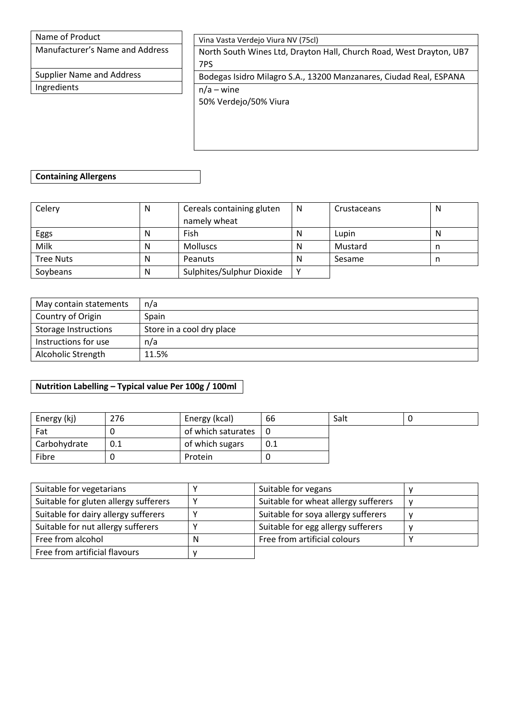Manufacturer's Name and Address

Supplier Name and Address Ingredients

Vina Vasta Verdejo Viura NV (75cl)

North South Wines Ltd, Drayton Hall, Church Road, West Drayton, UB7 7PS

Bodegas Isidro Milagro S.A., 13200 Manzanares, Ciudad Real, ESPANA n/a – wine

50% Verdejo/50% Viura

### **Containing Allergens**

| Celery           | N | Cereals containing gluten | N | Crustaceans | N |
|------------------|---|---------------------------|---|-------------|---|
|                  |   | namely wheat              |   |             |   |
| Eggs             | N | Fish                      | N | Lupin       | N |
| Milk             | N | <b>Molluscs</b>           | N | Mustard     |   |
| <b>Tree Nuts</b> | N | Peanuts                   | Ν | Sesame      | n |
| Soybeans         | N | Sulphites/Sulphur Dioxide |   |             |   |

| May contain statements      | n/a                       |
|-----------------------------|---------------------------|
| Country of Origin           | Spain                     |
| <b>Storage Instructions</b> | Store in a cool dry place |
| Instructions for use        | n/a                       |
| Alcoholic Strength          | 11.5%                     |

| Energy (kj)  | 276 | Energy (kcal)      | 66  | Salt |  |
|--------------|-----|--------------------|-----|------|--|
| Fat          |     | of which saturates | ! O |      |  |
| Carbohydrate | 0.1 | of which sugars    | 0.1 |      |  |
| Fibre        |     | Protein            |     |      |  |

| Suitable for vegetarians              |   | Suitable for vegans                  |   |
|---------------------------------------|---|--------------------------------------|---|
| Suitable for gluten allergy sufferers | v | Suitable for wheat allergy sufferers | v |
| Suitable for dairy allergy sufferers  |   | Suitable for soya allergy sufferers  | M |
| Suitable for nut allergy sufferers    |   | Suitable for egg allergy sufferers   |   |
| Free from alcohol                     | N | Free from artificial colours         |   |
| Free from artificial flavours         |   |                                      |   |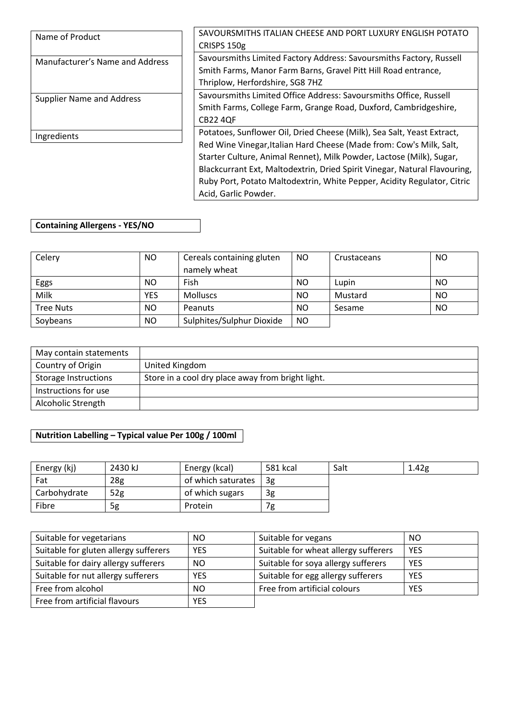| Name of Product                  | SAVOURSMITHS ITALIAN CHEESE AND PORT LUXURY ENGLISH POTATO                |  |
|----------------------------------|---------------------------------------------------------------------------|--|
|                                  | CRISPS 150g                                                               |  |
| Manufacturer's Name and Address  | Savoursmiths Limited Factory Address: Savoursmiths Factory, Russell       |  |
|                                  | Smith Farms, Manor Farm Barns, Gravel Pitt Hill Road entrance,            |  |
|                                  | Thriplow, Herfordshire, SG8 7HZ                                           |  |
| <b>Supplier Name and Address</b> | Savoursmiths Limited Office Address: Savoursmiths Office, Russell         |  |
|                                  | Smith Farms, College Farm, Grange Road, Duxford, Cambridgeshire,          |  |
|                                  | <b>CB22 4QF</b>                                                           |  |
| Ingredients                      | Potatoes, Sunflower Oil, Dried Cheese (Milk), Sea Salt, Yeast Extract,    |  |
|                                  | Red Wine Vinegar, Italian Hard Cheese (Made from: Cow's Milk, Salt,       |  |
|                                  | Starter Culture, Animal Rennet), Milk Powder, Lactose (Milk), Sugar,      |  |
|                                  | Blackcurrant Ext, Maltodextrin, Dried Spirit Vinegar, Natural Flavouring, |  |
|                                  | Ruby Port, Potato Maltodextrin, White Pepper, Acidity Regulator, Citric   |  |
|                                  | Acid, Garlic Powder.                                                      |  |

## **Containing Allergens - YES/NO**

| Celery           | NO. | Cereals containing gluten | NO.       | Crustaceans | NO        |
|------------------|-----|---------------------------|-----------|-------------|-----------|
|                  |     | namely wheat              |           |             |           |
| Eggs             | NO. | Fish                      | NO        | Lupin       | <b>NO</b> |
| Milk             | YES | <b>Molluscs</b>           | <b>NO</b> | Mustard     | NO        |
| <b>Tree Nuts</b> | NO. | Peanuts                   | <b>NO</b> | Sesame      | <b>NO</b> |
| Soybeans         | NO. | Sulphites/Sulphur Dioxide | <b>NO</b> |             |           |

| May contain statements      |                                                   |
|-----------------------------|---------------------------------------------------|
| Country of Origin           | United Kingdom                                    |
| <b>Storage Instructions</b> | Store in a cool dry place away from bright light. |
| Instructions for use        |                                                   |
| Alcoholic Strength          |                                                   |

| Energy (kj)  | 2430 kJ         | Energy (kcal)      | 581 kcal | Salt | 1.42 <sub>g</sub> |
|--------------|-----------------|--------------------|----------|------|-------------------|
| Fat          | 28 <sub>g</sub> | of which saturates | 3g       |      |                   |
| Carbohydrate | 52g             | of which sugars    | 3g       |      |                   |
| Fibre        | 5g              | Protein            | 7g       |      |                   |

| Suitable for vegetarians              | NO.        | Suitable for vegans                  | <b>NO</b>  |
|---------------------------------------|------------|--------------------------------------|------------|
| Suitable for gluten allergy sufferers | <b>YES</b> | Suitable for wheat allergy sufferers | <b>YES</b> |
| Suitable for dairy allergy sufferers  | NO.        | Suitable for soya allergy sufferers  | <b>YES</b> |
| Suitable for nut allergy sufferers    | <b>YES</b> | Suitable for egg allergy sufferers   | <b>YES</b> |
| Free from alcohol                     | NO.        | Free from artificial colours         | <b>YES</b> |
| Free from artificial flavours         | <b>YES</b> |                                      |            |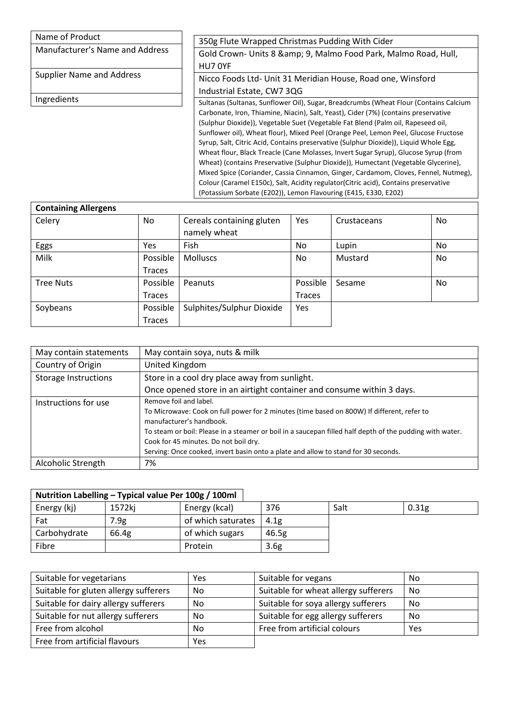| Name of Product                  | 350g Flute Wrapped Christmas Pudding With Cider                                                                                                                                                                                                                                                                                                                                                                                                                                                                                                                                                                                                                                                                                                                                                                                                                                 |
|----------------------------------|---------------------------------------------------------------------------------------------------------------------------------------------------------------------------------------------------------------------------------------------------------------------------------------------------------------------------------------------------------------------------------------------------------------------------------------------------------------------------------------------------------------------------------------------------------------------------------------------------------------------------------------------------------------------------------------------------------------------------------------------------------------------------------------------------------------------------------------------------------------------------------|
| Manufacturer's Name and Address  | Gold Crown- Units 8 & amp; 9, Malmo Food Park, Malmo Road, Hull,<br>HU7 OYF                                                                                                                                                                                                                                                                                                                                                                                                                                                                                                                                                                                                                                                                                                                                                                                                     |
| <b>Supplier Name and Address</b> | Nicco Foods Ltd- Unit 31 Meridian House, Road one, Winsford<br>Industrial Estate, CW7 3QG                                                                                                                                                                                                                                                                                                                                                                                                                                                                                                                                                                                                                                                                                                                                                                                       |
| Ingredients                      | Sultanas (Sultanas, Sunflower Oil), Sugar, Breadcrumbs (Wheat Flour (Contains Calcium<br>Carbonate, Iron, Thiamine, Niacin), Salt, Yeast), Cider (7%) (contains preservative<br>(Sulphur Dioxide)), Vegetable Suet (Vegetable Fat Blend (Palm oil, Rapeseed oil,<br>Sunflower oil), Wheat flour), Mixed Peel (Orange Peel, Lemon Peel, Glucose Fructose<br>Syrup, Salt, Citric Acid, Contains preservative (Sulphur Dioxide)), Liquid Whole Egg,<br>Wheat flour, Black Treacle (Cane Molasses, Invert Sugar Syrup), Glucose Syrup (from<br>Wheat) (contains Preservative (Sulphur Dioxide)), Humectant (Vegetable Glycerine),<br>Mixed Spice (Coriander, Cassia Cinnamon, Ginger, Cardamom, Cloves, Fennel, Nutmeg),<br>Colour (Caramel E150c), Salt, Acidity regulator (Citric acid), Contains preservative<br>(Potassium Sorbate (E202)), Lemon Flavouring (E415, E330, E202) |

| <b>Containing Allergens</b> |               |                           |          |             |    |
|-----------------------------|---------------|---------------------------|----------|-------------|----|
| Celery                      | No            | Cereals containing gluten | Yes      | Crustaceans | No |
|                             |               | namely wheat              |          |             |    |
| Eggs                        | Yes           | Fish                      | No.      | Lupin       | No |
| Milk                        | Possible      | <b>Molluscs</b>           | No       | Mustard     | No |
|                             | <b>Traces</b> |                           |          |             |    |
| <b>Tree Nuts</b>            | Possible      | Peanuts                   | Possible | Sesame      | No |
|                             | <b>Traces</b> |                           | Traces   |             |    |
| Soybeans                    | Possible      | Sulphites/Sulphur Dioxide | Yes      |             |    |
|                             | <b>Traces</b> |                           |          |             |    |

| May contain statements      | May contain soya, nuts & milk                                                                                                                                                                                                                                                                                                                                                               |
|-----------------------------|---------------------------------------------------------------------------------------------------------------------------------------------------------------------------------------------------------------------------------------------------------------------------------------------------------------------------------------------------------------------------------------------|
| Country of Origin           | United Kingdom                                                                                                                                                                                                                                                                                                                                                                              |
| <b>Storage Instructions</b> | Store in a cool dry place away from sunlight.                                                                                                                                                                                                                                                                                                                                               |
|                             | Once opened store in an airtight container and consume within 3 days.                                                                                                                                                                                                                                                                                                                       |
| Instructions for use        | Remove foil and label.<br>To Microwave: Cook on full power for 2 minutes (time based on 800W) If different, refer to<br>manufacturer's handbook.<br>To steam or boil: Please in a steamer or boil in a saucepan filled half depth of the pudding with water.<br>Cook for 45 minutes. Do not boil dry.<br>Serving: Once cooked, invert basin onto a plate and allow to stand for 30 seconds. |
| Alcoholic Strength          | 7%                                                                                                                                                                                                                                                                                                                                                                                          |

| Nutrition Labelling - Typical value Per 100g / 100ml |        |                    |                  |      |                   |
|------------------------------------------------------|--------|--------------------|------------------|------|-------------------|
| Energy (kj)                                          | 1572ki | Energy (kcal)      | 376              | Salt | 0.31 <sub>g</sub> |
| Fat                                                  | 7.9g   | of which saturates | 4.1g             |      |                   |
| Carbohydrate                                         | 66.4g  | of which sugars    | 46.5g            |      |                   |
| Fibre                                                |        | Protein            | 3.6 <sub>g</sub> |      |                   |

| Suitable for vegetarians              | Yes | Suitable for vegans                  | No  |
|---------------------------------------|-----|--------------------------------------|-----|
| Suitable for gluten allergy sufferers | No  | Suitable for wheat allergy sufferers | No  |
| Suitable for dairy allergy sufferers  | No  | Suitable for soya allergy sufferers  | No  |
| Suitable for nut allergy sufferers    | No  | Suitable for egg allergy sufferers   | No  |
| Free from alcohol                     | No  | Free from artificial colours         | Yes |
| Free from artificial flavours         | Yes |                                      |     |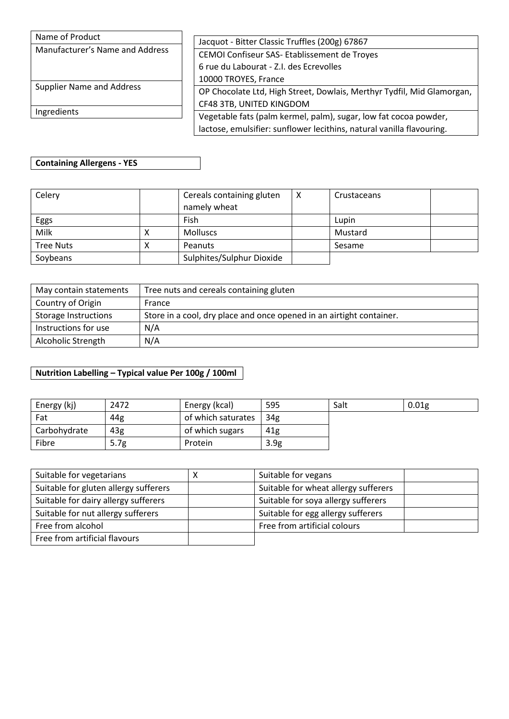| Name of Product                  |                                                                        |  |
|----------------------------------|------------------------------------------------------------------------|--|
| Manufacturer's Name and Address  | Jacquot - Bitter Classic Truffles (200g) 67867                         |  |
|                                  | CEMOI Confiseur SAS- Etablissement de Troyes                           |  |
|                                  | 6 rue du Labourat - Z.I. des Ecrevolles                                |  |
|                                  | 10000 TROYES, France                                                   |  |
| <b>Supplier Name and Address</b> | OP Chocolate Ltd, High Street, Dowlais, Merthyr Tydfil, Mid Glamorgan, |  |
| Ingredients                      | CF48 3TB, UNITED KINGDOM                                               |  |
|                                  | Vegetable fats (palm kermel, palm), sugar, low fat cocoa powder,       |  |
|                                  | lactose, emulsifier: sunflower lecithins, natural vanilla flavouring.  |  |

## **Containing Allergens - YES**

| Celery           |   | Cereals containing gluten | х | Crustaceans |  |
|------------------|---|---------------------------|---|-------------|--|
|                  |   | namely wheat              |   |             |  |
| Eggs             |   | Fish                      |   | Lupin       |  |
| Milk             |   | <b>Molluscs</b>           |   | Mustard     |  |
| <b>Tree Nuts</b> | ́ | Peanuts                   |   | Sesame      |  |
| Soybeans         |   | Sulphites/Sulphur Dioxide |   |             |  |

| May contain statements      | Tree nuts and cereals containing gluten                              |
|-----------------------------|----------------------------------------------------------------------|
| Country of Origin           | France                                                               |
| <b>Storage Instructions</b> | Store in a cool, dry place and once opened in an airtight container. |
| Instructions for use        | N/A                                                                  |
| Alcoholic Strength          | N/A                                                                  |

| Energy (kj)  | 2472 | Energy (kcal)      | 595              | Salt | 0.01 <sub>g</sub> |
|--------------|------|--------------------|------------------|------|-------------------|
| Fat          | 44g  | of which saturates | 34 <sub>g</sub>  |      |                   |
| Carbohydrate | 43g  | of which sugars    | 41g              |      |                   |
| Fibre        | 5.7g | Protein            | 3.9 <sub>g</sub> |      |                   |

| Suitable for vegetarians              | Suitable for vegans                  |  |
|---------------------------------------|--------------------------------------|--|
| Suitable for gluten allergy sufferers | Suitable for wheat allergy sufferers |  |
| Suitable for dairy allergy sufferers  | Suitable for soya allergy sufferers  |  |
| Suitable for nut allergy sufferers    | Suitable for egg allergy sufferers   |  |
| Free from alcohol                     | Free from artificial colours         |  |
| Free from artificial flavours         |                                      |  |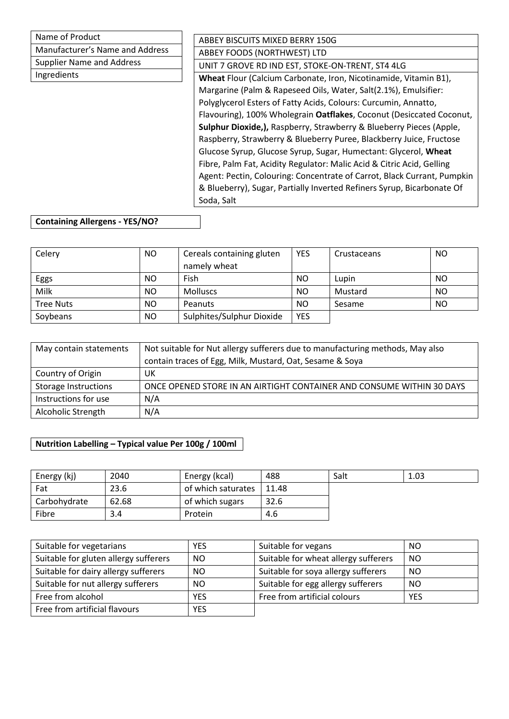| Name of Product                  | ABBEY BISCUITS MIXED BERRY 150G                                         |
|----------------------------------|-------------------------------------------------------------------------|
| Manufacturer's Name and Address  | ABBEY FOODS (NORTHWEST) LTD                                             |
| <b>Supplier Name and Address</b> | UNIT 7 GROVE RD IND EST, STOKE-ON-TRENT, ST4 4LG                        |
| Ingredients                      | Wheat Flour (Calcium Carbonate, Iron, Nicotinamide, Vitamin B1),        |
|                                  | Margarine (Palm & Rapeseed Oils, Water, Salt(2.1%), Emulsifier:         |
|                                  | Polyglycerol Esters of Fatty Acids, Colours: Curcumin, Annatto,         |
|                                  | Flavouring), 100% Wholegrain Oatflakes, Coconut (Desiccated Coconut,    |
|                                  | Sulphur Dioxide,), Raspberry, Strawberry & Blueberry Pieces (Apple,     |
|                                  | Raspberry, Strawberry & Blueberry Puree, Blackberry Juice, Fructose     |
|                                  | Glucose Syrup, Glucose Syrup, Sugar, Humectant: Glycerol, Wheat         |
|                                  | Fibre, Palm Fat, Acidity Regulator: Malic Acid & Citric Acid, Gelling   |
|                                  | Agent: Pectin, Colouring: Concentrate of Carrot, Black Currant, Pumpkin |
|                                  | & Blueberry), Sugar, Partially Inverted Refiners Syrup, Bicarbonate Of  |
|                                  | Soda, Salt                                                              |

## **Containing Allergens - YES/NO?**

| Celery           | NO. | Cereals containing gluten | <b>YES</b> | Crustaceans | NO  |
|------------------|-----|---------------------------|------------|-------------|-----|
|                  |     | namely wheat              |            |             |     |
| Eggs             | NO. | Fish                      | NO         | Lupin       | NO  |
| Milk             | NO. | <b>Molluscs</b>           | NO         | Mustard     | NO. |
| <b>Tree Nuts</b> | NO. | Peanuts                   | <b>NO</b>  | Sesame      | NO  |
| Soybeans         | NO. | Sulphites/Sulphur Dioxide | <b>YES</b> |             |     |

| May contain statements      | Not suitable for Nut allergy sufferers due to manufacturing methods, May also |
|-----------------------------|-------------------------------------------------------------------------------|
|                             | contain traces of Egg, Milk, Mustard, Oat, Sesame & Soya                      |
| Country of Origin           | UK                                                                            |
| <b>Storage Instructions</b> | ONCE OPENED STORE IN AN AIRTIGHT CONTAINER AND CONSUME WITHIN 30 DAYS         |
| Instructions for use        | N/A                                                                           |
| Alcoholic Strength          | N/A                                                                           |

| Energy (kj)  | 2040  | Energy (kcal)      | 488   | Salt | 1.03 |
|--------------|-------|--------------------|-------|------|------|
| Fat          | 23.6  | of which saturates | 11.48 |      |      |
| Carbohydrate | 62.68 | of which sugars    | 32.6  |      |      |
| Fibre        | 3.4   | Protein            | 4.6   |      |      |

| Suitable for vegetarians              | <b>YES</b> | Suitable for vegans                  | NO            |
|---------------------------------------|------------|--------------------------------------|---------------|
| Suitable for gluten allergy sufferers | NO.        | Suitable for wheat allergy sufferers | NO            |
| Suitable for dairy allergy sufferers  | NO.        | Suitable for soya allergy sufferers  | <sub>NO</sub> |
| Suitable for nut allergy sufferers    | NO.        | Suitable for egg allergy sufferers   | <sub>NO</sub> |
| Free from alcohol                     | <b>YES</b> | Free from artificial colours         | <b>YES</b>    |
| Free from artificial flavours         | <b>YES</b> |                                      |               |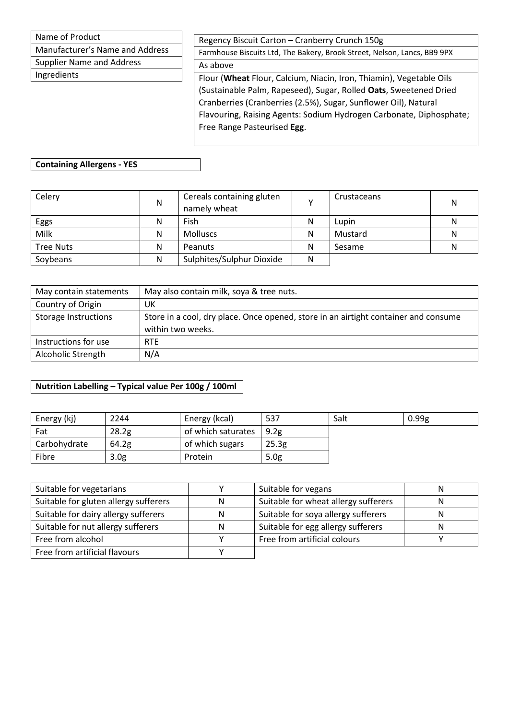Manufacturer's Name and Address

Supplier Name and Address

Ingredients

Regency Biscuit Carton – Cranberry Crunch 150g

Farmhouse Biscuits Ltd, The Bakery, Brook Street, Nelson, Lancs, BB9 9PX As above

Flour (**Wheat** Flour, Calcium, Niacin, Iron, Thiamin), Vegetable Oils (Sustainable Palm, Rapeseed), Sugar, Rolled **Oats**, Sweetened Dried Cranberries (Cranberries (2.5%), Sugar, Sunflower Oil), Natural Flavouring, Raising Agents: Sodium Hydrogen Carbonate, Diphosphate; Free Range Pasteurised **Egg**.

### **Containing Allergens - YES**

| Celery           | N | Cereals containing gluten<br>namely wheat |   | Crustaceans | Ν |
|------------------|---|-------------------------------------------|---|-------------|---|
| Eggs             | N | Fish                                      | Ν | Lupin       |   |
| Milk             | N | <b>Molluscs</b>                           | Ν | Mustard     |   |
| <b>Tree Nuts</b> | N | Peanuts                                   | Ν | Sesame      |   |
| Soybeans         | N | Sulphites/Sulphur Dioxide                 |   |             |   |

| May contain statements      | May also contain milk, soya & tree nuts.                                                                 |
|-----------------------------|----------------------------------------------------------------------------------------------------------|
| Country of Origin           | UK                                                                                                       |
| <b>Storage Instructions</b> | Store in a cool, dry place. Once opened, store in an airtight container and consume<br>within two weeks. |
| Instructions for use        | <b>RTE</b>                                                                                               |
| Alcoholic Strength          | N/A                                                                                                      |

| Energy (kj)  | 2244              | Energy (kcal)      | 537              | Salt | 0.99g |
|--------------|-------------------|--------------------|------------------|------|-------|
| Fat          | 28.2 <sub>g</sub> | of which saturates | 9.2 <sub>g</sub> |      |       |
| Carbohydrate | 64.2g             | of which sugars    | 25.3g            |      |       |
| Fibre        | 3.0 <sub>g</sub>  | Protein            | 5.0 <sub>g</sub> |      |       |

| Suitable for vegetarians              |   | Suitable for vegans                  | N |
|---------------------------------------|---|--------------------------------------|---|
| Suitable for gluten allergy sufferers | N | Suitable for wheat allergy sufferers | N |
| Suitable for dairy allergy sufferers  | N | Suitable for soya allergy sufferers  | N |
| Suitable for nut allergy sufferers    | N | Suitable for egg allergy sufferers   | N |
| Free from alcohol                     |   | Free from artificial colours         |   |
| Free from artificial flavours         |   |                                      |   |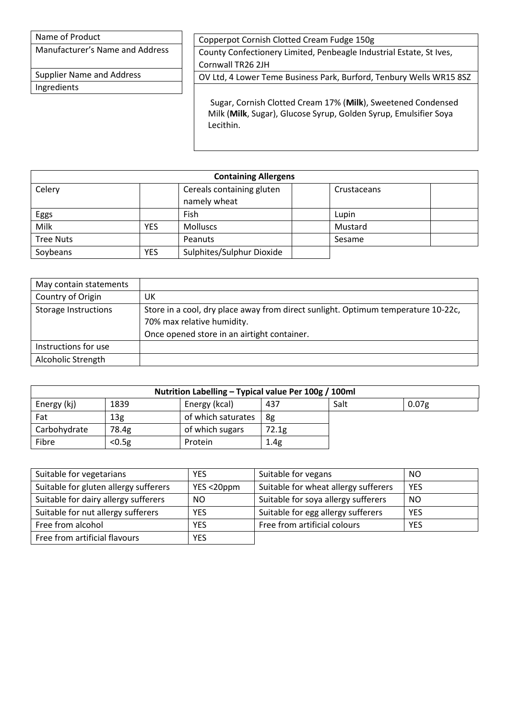Manufacturer's Name and Address

Supplier Name and Address Ingredients

Copperpot Cornish Clotted Cream Fudge 150g

County Confectionery Limited, Penbeagle Industrial Estate, St Ives, Cornwall TR26 2JH

OV Ltd, 4 Lower Teme Business Park, Burford, Tenbury Wells WR15 8SZ

Sugar, Cornish Clotted Cream 17% (**Milk**), Sweetened Condensed Milk (**Milk**, Sugar), Glucose Syrup, Golden Syrup, Emulsifier Soya Lecithin.

| <b>Containing Allergens</b> |            |                                           |  |             |  |
|-----------------------------|------------|-------------------------------------------|--|-------------|--|
| Celery                      |            | Cereals containing gluten<br>namely wheat |  | Crustaceans |  |
| Eggs                        |            | Fish                                      |  | Lupin       |  |
| Milk                        | <b>YES</b> | <b>Molluscs</b>                           |  | Mustard     |  |
| <b>Tree Nuts</b>            |            | Peanuts                                   |  | Sesame      |  |
| Soybeans                    | YES        | Sulphites/Sulphur Dioxide                 |  |             |  |

| May contain statements      |                                                                                                                                                                |
|-----------------------------|----------------------------------------------------------------------------------------------------------------------------------------------------------------|
| Country of Origin           | UK                                                                                                                                                             |
| <b>Storage Instructions</b> | Store in a cool, dry place away from direct sunlight. Optimum temperature 10-22c,<br>70% max relative humidity.<br>Once opened store in an airtight container. |
| Instructions for use        |                                                                                                                                                                |
| Alcoholic Strength          |                                                                                                                                                                |

| Nutrition Labelling - Typical value Per 100g / 100ml |                 |                    |       |      |                   |
|------------------------------------------------------|-----------------|--------------------|-------|------|-------------------|
| Energy (kj)                                          | 1839            | Energy (kcal)      | 437   | Salt | 0.07 <sub>g</sub> |
| Fat                                                  | 13 <sub>g</sub> | of which saturates | 8g    |      |                   |
| Carbohydrate                                         | 78.4g           | of which sugars    | 72.1g |      |                   |
| Fibre                                                | < 0.5g          | Protein            | 1.4g  |      |                   |

| Suitable for vegetarians              | <b>YES</b> | Suitable for vegans                  | <b>NO</b>     |
|---------------------------------------|------------|--------------------------------------|---------------|
| Suitable for gluten allergy sufferers | YES <20ppm | Suitable for wheat allergy sufferers | <b>YES</b>    |
| Suitable for dairy allergy sufferers  | NO.        | Suitable for soya allergy sufferers  | <sub>NO</sub> |
| Suitable for nut allergy sufferers    | <b>YES</b> | Suitable for egg allergy sufferers   | <b>YES</b>    |
| Free from alcohol                     | <b>YES</b> | Free from artificial colours         | <b>YES</b>    |
| Free from artificial flavours         | <b>YES</b> |                                      |               |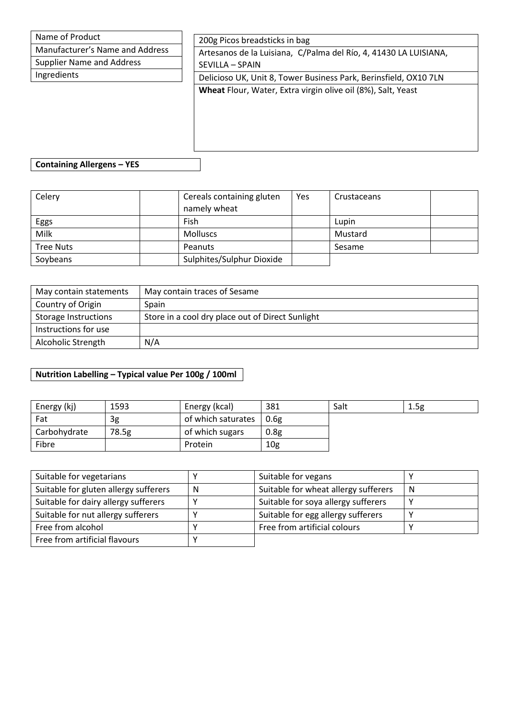| Name of Product                 | 200g Picos breadsticks in bag                                    |
|---------------------------------|------------------------------------------------------------------|
| Manufacturer's Name and Address | Artesanos de la Luisiana, C/Palma del Río, 4, 41430 LA LUISIANA, |
| Supplier Name and Address       | SEVILLA – SPAIN                                                  |
| Ingredients                     | Delicioso UK, Unit 8, Tower Business Park, Berinsfield, OX10 7LN |
|                                 | Wheat Flour, Water, Extra virgin olive oil (8%), Salt, Yeast     |
|                                 |                                                                  |
|                                 |                                                                  |
|                                 |                                                                  |

**Containing Allergens – YES**

| Celery           | Cereals containing gluten | Yes | Crustaceans |  |
|------------------|---------------------------|-----|-------------|--|
|                  | namely wheat              |     |             |  |
| Eggs             | Fish                      |     | Lupin       |  |
| Milk             | <b>Molluscs</b>           |     | Mustard     |  |
| <b>Tree Nuts</b> | Peanuts                   |     | Sesame      |  |
| Soybeans         | Sulphites/Sulphur Dioxide |     |             |  |

| May contain statements      | May contain traces of Sesame                     |
|-----------------------------|--------------------------------------------------|
| Country of Origin           | Spain                                            |
| <b>Storage Instructions</b> | Store in a cool dry place out of Direct Sunlight |
| Instructions for use        |                                                  |
| Alcoholic Strength          | N/A                                              |

| Energy (kj)  | 1593  | Energy (kcal)      | 381              | Salt | 1.5g |
|--------------|-------|--------------------|------------------|------|------|
| Fat          | 3g    | of which saturates | 0.6g             |      |      |
| Carbohydrate | 78.5g | of which sugars    | 0.8 <sub>g</sub> |      |      |
| Fibre        |       | Protein            | 10 <sub>g</sub>  |      |      |

| Suitable for vegetarians              |   | Suitable for vegans                  |   |
|---------------------------------------|---|--------------------------------------|---|
| Suitable for gluten allergy sufferers | N | Suitable for wheat allergy sufferers | N |
| Suitable for dairy allergy sufferers  |   | Suitable for soya allergy sufferers  |   |
| Suitable for nut allergy sufferers    |   | Suitable for egg allergy sufferers   |   |
| Free from alcohol                     |   | Free from artificial colours         |   |
| Free from artificial flavours         |   |                                      |   |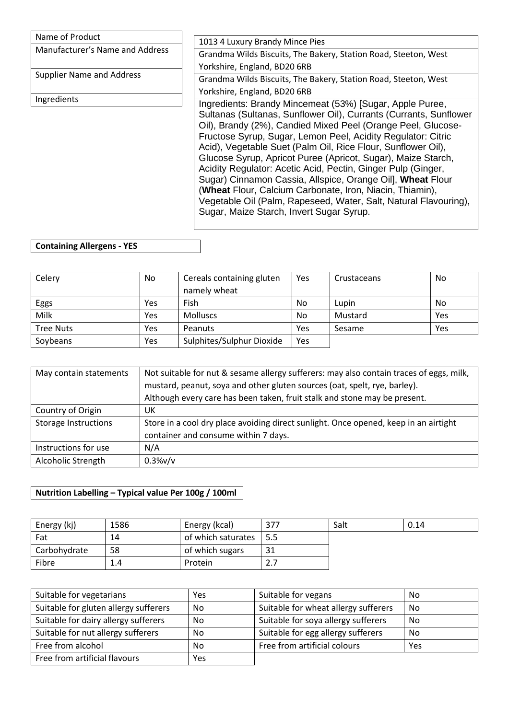| Name of Product                 | 1013 4 Luxury Brandy Mince Pies                                                                                                                                                                                                                                                                                                                                        |
|---------------------------------|------------------------------------------------------------------------------------------------------------------------------------------------------------------------------------------------------------------------------------------------------------------------------------------------------------------------------------------------------------------------|
| Manufacturer's Name and Address |                                                                                                                                                                                                                                                                                                                                                                        |
|                                 | Grandma Wilds Biscuits, The Bakery, Station Road, Steeton, West                                                                                                                                                                                                                                                                                                        |
| Supplier Name and Address       | Yorkshire, England, BD20 6RB                                                                                                                                                                                                                                                                                                                                           |
|                                 | Grandma Wilds Biscuits, The Bakery, Station Road, Steeton, West                                                                                                                                                                                                                                                                                                        |
|                                 | Yorkshire, England, BD20 6RB                                                                                                                                                                                                                                                                                                                                           |
| Ingredients                     | Ingredients: Brandy Mincemeat (53%) [Sugar, Apple Puree,<br>Sultanas (Sultanas, Sunflower Oil), Currants (Currants, Sunflower<br>Oil), Brandy (2%), Candied Mixed Peel (Orange Peel, Glucose-<br>Fructose Syrup, Sugar, Lemon Peel, Acidity Regulator: Citric<br>Acid), Vegetable Suet (Palm Oil, Rice Flour, Sunflower Oil),                                          |
|                                 | Glucose Syrup, Apricot Puree (Apricot, Sugar), Maize Starch,<br>Acidity Regulator: Acetic Acid, Pectin, Ginger Pulp (Ginger,<br>Sugar) Cinnamon Cassia, Allspice, Orange Oil], Wheat Flour<br>(Wheat Flour, Calcium Carbonate, Iron, Niacin, Thiamin),<br>Vegetable Oil (Palm, Rapeseed, Water, Salt, Natural Flavouring),<br>Sugar, Maize Starch, Invert Sugar Syrup. |

## **Containing Allergens - YES**

| Celery           | No  | Cereals containing gluten<br>namely wheat | Yes  | Crustaceans | No  |
|------------------|-----|-------------------------------------------|------|-------------|-----|
|                  |     |                                           |      |             |     |
| Eggs             | Yes | Fish                                      | No   | Lupin       | No  |
| Milk             | Yes | <b>Molluscs</b>                           | No   | Mustard     | Yes |
| <b>Tree Nuts</b> | Yes | Peanuts                                   | Yes. | Sesame      | Yes |
| Soybeans         | Yes | Sulphites/Sulphur Dioxide                 | Yes  |             |     |

| May contain statements      | Not suitable for nut & sesame allergy sufferers: may also contain traces of eggs, milk, |
|-----------------------------|-----------------------------------------------------------------------------------------|
|                             | mustard, peanut, soya and other gluten sources (oat, spelt, rye, barley).               |
|                             | Although every care has been taken, fruit stalk and stone may be present.               |
| Country of Origin           | UK                                                                                      |
| <b>Storage Instructions</b> | Store in a cool dry place avoiding direct sunlight. Once opened, keep in an airtight    |
|                             | container and consume within 7 days.                                                    |
| Instructions for use        | N/A                                                                                     |
| Alcoholic Strength          | 0.3%v/v                                                                                 |

| Energy (kj)  | 1586 | Energy (kcal)      | 377   | Salt | 0.14 |
|--------------|------|--------------------|-------|------|------|
| Fat          | 14   | of which saturates | l 5.5 |      |      |
| Carbohydrate | 58   | of which sugars    | 31    |      |      |
| Fibre        | 1.4  | Protein            | 2.7   |      |      |

| Suitable for vegetarians              | Yes | Suitable for vegans                  | No  |
|---------------------------------------|-----|--------------------------------------|-----|
| Suitable for gluten allergy sufferers | No. | Suitable for wheat allergy sufferers | No  |
| Suitable for dairy allergy sufferers  | No. | Suitable for soya allergy sufferers  | No  |
| Suitable for nut allergy sufferers    | No. | Suitable for egg allergy sufferers   | No  |
| Free from alcohol                     | No. | Free from artificial colours         | Yes |
| Free from artificial flavours         | Yes |                                      |     |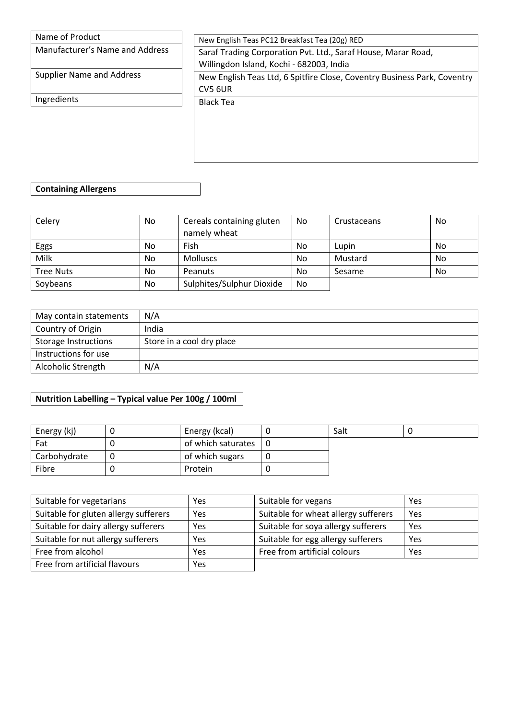| Name of Product                 | New English Teas PC12 Breakfast Tea (20g) RED                                                             |
|---------------------------------|-----------------------------------------------------------------------------------------------------------|
| Manufacturer's Name and Address | Saraf Trading Corporation Pvt. Ltd., Saraf House, Marar Road,<br>Willingdon Island, Kochi - 682003, India |
| Supplier Name and Address       | New English Teas Ltd, 6 Spitfire Close, Coventry Business Park, Coventry<br>CV5 6UR                       |
| Ingredients                     | <b>Black Tea</b>                                                                                          |
|                                 |                                                                                                           |

## **Containing Allergens**

| Celery           | No. | Cereals containing gluten | No. | Crustaceans | No |
|------------------|-----|---------------------------|-----|-------------|----|
|                  |     | namely wheat              |     |             |    |
| Eggs             | No. | Fish                      | No  | Lupin       | No |
| Milk             | No. | <b>Molluscs</b>           | No  | Mustard     | No |
| <b>Tree Nuts</b> | No. | Peanuts                   | No  | Sesame      | No |
| Soybeans         | No  | Sulphites/Sulphur Dioxide | No. |             |    |

| May contain statements      | N/A                       |
|-----------------------------|---------------------------|
| Country of Origin           | India                     |
| <b>Storage Instructions</b> | Store in a cool dry place |
| Instructions for use        |                           |
| Alcoholic Strength          | N/A                       |

| Energy (kj)  | Energy (kcal)      |     | Salt |  |
|--------------|--------------------|-----|------|--|
| Fat          | of which saturates | l 0 |      |  |
| Carbohydrate | of which sugars    |     |      |  |
| Fibre        | Protein            |     |      |  |

| Suitable for vegetarians              | Yes | Suitable for vegans                  | Yes |
|---------------------------------------|-----|--------------------------------------|-----|
| Suitable for gluten allergy sufferers | Yes | Suitable for wheat allergy sufferers | Yes |
| Suitable for dairy allergy sufferers  | Yes | Suitable for soya allergy sufferers  | Yes |
| Suitable for nut allergy sufferers    | Yes | Suitable for egg allergy sufferers   | Yes |
| Free from alcohol                     | Yes | Free from artificial colours         | Yes |
| Free from artificial flavours         | Yes |                                      |     |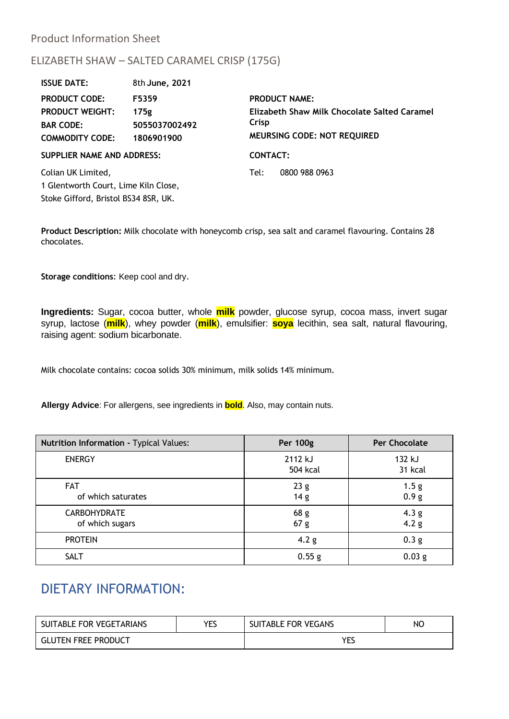## Product Information Sheet

## ELIZABETH SHAW – SALTED CARAMEL CRISP (175G)

| <b>ISSUE DATE:</b>                   | 8th June, 2021 |                                                       |                             |  |
|--------------------------------------|----------------|-------------------------------------------------------|-----------------------------|--|
| <b>PRODUCT CODE:</b>                 | F5359          | <b>PRODUCT NAME:</b>                                  |                             |  |
| <b>PRODUCT WEIGHT:</b>               | 175g           | Elizabeth Shaw Milk Chocolate Salted Caramel<br>Crisp |                             |  |
| <b>BAR CODE:</b>                     | 5055037002492  |                                                       |                             |  |
| <b>COMMODITY CODE:</b>               | 1806901900     |                                                       | MEURSING CODE: NOT REQUIRED |  |
| <b>SUPPLIER NAME AND ADDRESS:</b>    |                | <b>CONTACT:</b>                                       |                             |  |
| Colian UK Limited,                   |                | Tel:                                                  | 0800 988 0963               |  |
| 1 Glentworth Court, Lime Kiln Close, |                |                                                       |                             |  |
| Stoke Gifford, Bristol BS34 8SR, UK. |                |                                                       |                             |  |

**Product Description:** Milk chocolate with honeycomb crisp, sea salt and caramel flavouring. Contains 28 chocolates.

**Storage conditions**: Keep cool and dry.

**Ingredients:** Sugar, cocoa butter, whole **milk** powder, glucose syrup, cocoa mass, invert sugar syrup, lactose (**milk**), whey powder (**milk**), emulsifier: **soya** lecithin, sea salt, natural flavouring, raising agent: sodium bicarbonate.

Milk chocolate contains: cocoa solids 30% minimum, milk solids 14% minimum.

**Allergy Advice**: For allergens, see ingredients in **bold**. Also, may contain nuts.

| Nutrition Information - Typical Values: | <b>Per 100g</b>                    | <b>Per Chocolate</b>                 |
|-----------------------------------------|------------------------------------|--------------------------------------|
| <b>ENERGY</b>                           | 2112 kJ<br>504 kcal                | 132 kJ<br>31 kcal                    |
| <b>FAT</b><br>of which saturates        | 23g<br>14 <sub>g</sub>             | 1.5 <sub>g</sub><br>0.9 <sub>g</sub> |
| <b>CARBOHYDRATE</b><br>of which sugars  | 68 <sub>g</sub><br>67 <sub>g</sub> | 4.3 <sub>g</sub><br>4.2 <sub>g</sub> |
| <b>PROTEIN</b>                          | 4.2 <sub>g</sub>                   | 0.3 <sub>g</sub>                     |
| <b>SALT</b>                             | 0.55 g                             | 0.03 <sub>g</sub>                    |

# DIETARY INFORMATION:

| SUITABLE FOR VEGETARIANS   | VFC<br>-- | SUITABLE FOR VEGANS | NO. |
|----------------------------|-----------|---------------------|-----|
| <b>GLUTEN FREE PRODUCT</b> |           |                     |     |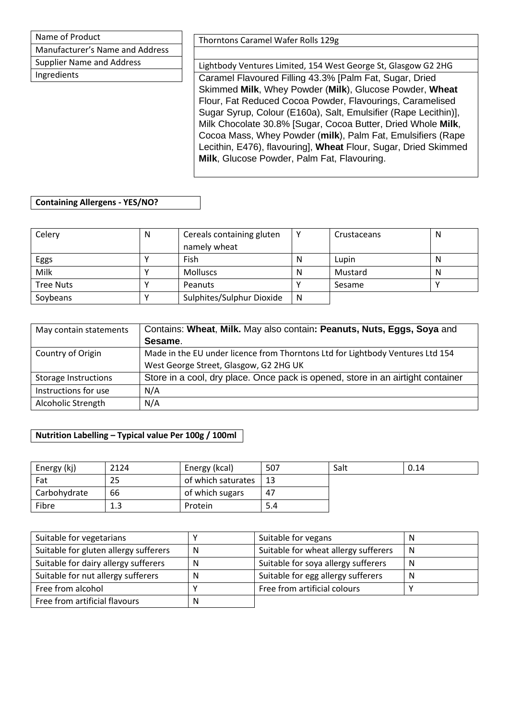Name of Product Manufacturer's Name and Address Supplier Name and Address

Ingredients

Thorntons Caramel Wafer Rolls 129g

Lightbody Ventures Limited, 154 West George St, Glasgow G2 2HG Caramel Flavoured Filling 43.3% [Palm Fat, Sugar, Dried Skimmed **Milk**, Whey Powder (**Milk**), Glucose Powder, **Wheat** Flour, Fat Reduced Cocoa Powder, Flavourings, Caramelised Sugar Syrup, Colour (E160a), Salt, Emulsifier (Rape Lecithin)], Milk Chocolate 30.8% [Sugar, Cocoa Butter, Dried Whole **Milk**, Cocoa Mass, Whey Powder (**milk**), Palm Fat, Emulsifiers (Rape Lecithin, E476), flavouring], **Wheat** Flour, Sugar, Dried Skimmed **Milk**, Glucose Powder, Palm Fat, Flavouring.

#### **Containing Allergens - YES/NO?**

| Celery           | N | Cereals containing gluten |   | Crustaceans | N |
|------------------|---|---------------------------|---|-------------|---|
|                  |   | namely wheat              |   |             |   |
| Eggs             |   | Fish                      | N | Lupin       | N |
| Milk             |   | <b>Molluscs</b>           | N | Mustard     | N |
| <b>Tree Nuts</b> |   | <b>Peanuts</b>            |   | Sesame      |   |
| Soybeans         |   | Sulphites/Sulphur Dioxide | N |             |   |

| May contain statements      | Contains: Wheat, Milk. May also contain: Peanuts, Nuts, Eggs, Soya and          |
|-----------------------------|---------------------------------------------------------------------------------|
|                             | Sesame.                                                                         |
| Country of Origin           | Made in the EU under licence from Thorntons Ltd for Lightbody Ventures Ltd 154  |
|                             | West George Street, Glasgow, G2 2HG UK                                          |
| <b>Storage Instructions</b> | Store in a cool, dry place. Once pack is opened, store in an airtight container |
| Instructions for use        | N/A                                                                             |
| Alcoholic Strength          | N/A                                                                             |

| Energy (kj)  | 2124 | Energy (kcal)      | 507 | Salt | 0.14 |
|--------------|------|--------------------|-----|------|------|
| Fat          | 25   | of which saturates | -13 |      |      |
| Carbohydrate | 66   | of which sugars    | 47  |      |      |
| Fibre        | 1.3  | Protein            | 5.4 |      |      |

| Suitable for vegetarians              |              | Suitable for vegans                  | N |
|---------------------------------------|--------------|--------------------------------------|---|
| Suitable for gluten allergy sufferers | N            | Suitable for wheat allergy sufferers | N |
| Suitable for dairy allergy sufferers  | N            | Suitable for soya allergy sufferers  | N |
| Suitable for nut allergy sufferers    | N            | Suitable for egg allergy sufferers   | N |
| Free from alcohol                     |              | Free from artificial colours         |   |
| Free from artificial flavours         | <sub>N</sub> |                                      |   |